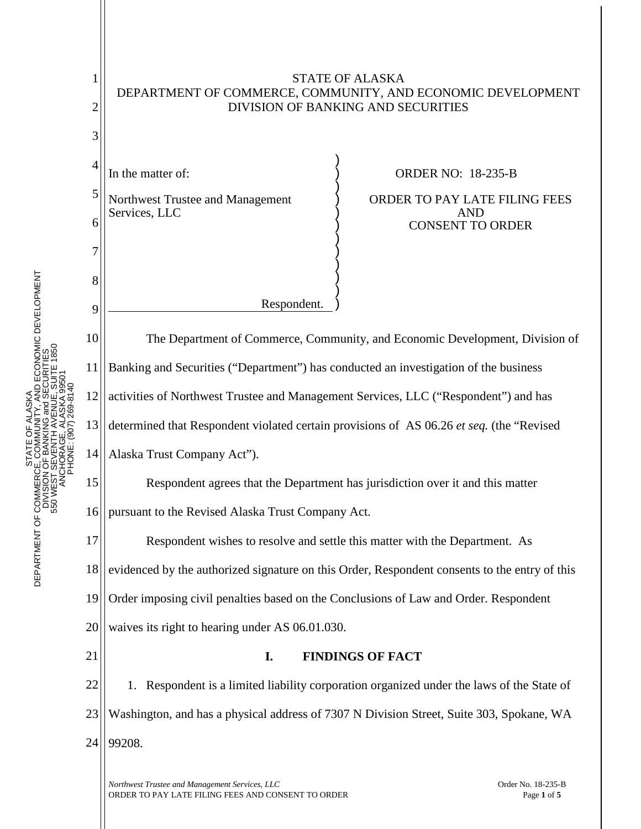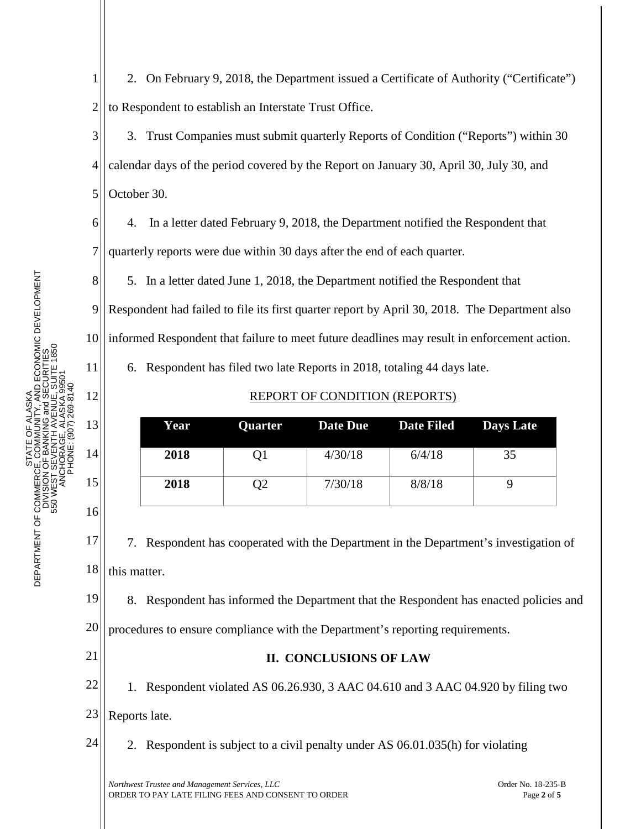8

11

12

13

14

15

16

1 2 2. On February 9, 2018, the Department issued a Certificate of Authority ("Certificate") to Respondent to establish an Interstate Trust Office.

3 4 5 3. Trust Companies must submit quarterly Reports of Condition ("Reports") within 30 calendar days of the period covered by the Report on January 30, April 30, July 30, and October 30.

6 7 4. In a letter dated February 9, 2018, the Department notified the Respondent that quarterly reports were due within 30 days after the end of each quarter.

5. In a letter dated June 1, 2018, the Department notified the Respondent that

9 10 Respondent had failed to file its first quarter report by April 30, 2018. The Department also informed Respondent that failure to meet future deadlines may result in enforcement action.

6. Respondent has filed two late Reports in 2018, totaling 44 days late.

## REPORT OF CONDITION (REPORTS)

| Year | <b>Quarter</b> | Date Due | <b>Date Filed Days Late</b> |    |
|------|----------------|----------|-----------------------------|----|
| 2018 | Q1             | 4/30/18  | 6/4/18                      | 35 |
| 2018 | Q2             | 7/30/18  | 8/8/18                      |    |

17 18 7. Respondent has cooperated with the Department in the Department's investigation of this matter.

19 8. Respondent has informed the Department that the Respondent has enacted policies and

20 procedures to ensure compliance with the Department's reporting requirements.

21

## **II. CONCLUSIONS OF LAW**

22 23 1. Respondent violated AS 06.26.930, 3 AAC 04.610 and 3 AAC 04.920 by filing two Reports late.

24 2. Respondent is subject to a civil penalty under AS 06.01.035(h) for violating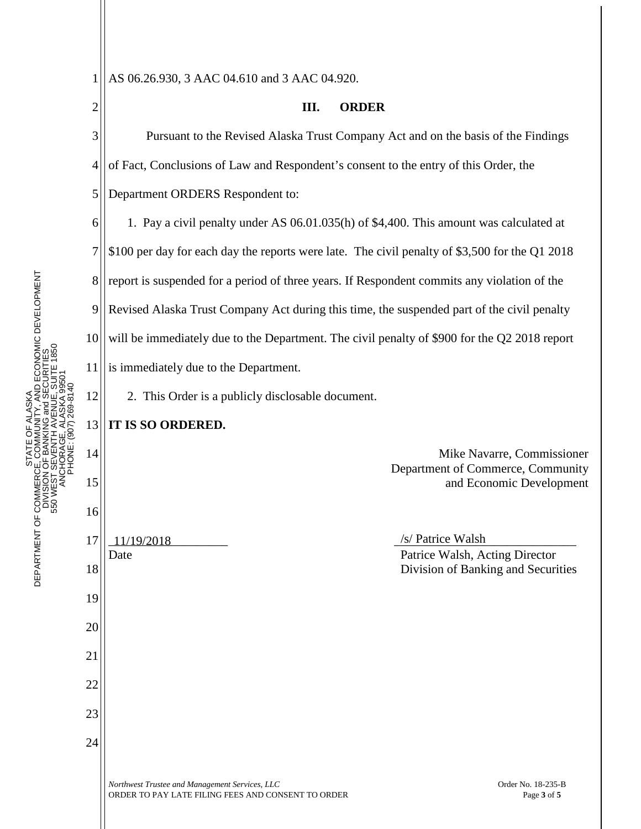22

23

24

1

STATE OF ALASKA DEPARTMENT OF COMMERCE, COMMUNITY, AND ECONOMIC DEVELOPMENT DIVISION OF BANKING and SECURITIES

ŏ

ALASKA

2 3 4 5 6 7 8 9 10 11 12 13 14 15 16 17 18 19 20 21 11/19/2018 /s/ Patrice Walsh **III. ORDER** Pursuant to the Revised Alaska Trust Company Act and on the basis of the Findings of Fact, Conclusions of Law and Respondent's consent to the entry of this Order, the Department ORDERS Respondent to: 1. Pay a civil penalty under AS 06.01.035(h) of \$4,400. This amount was calculated at \$100 per day for each day the reports were late. The civil penalty of \$3,500 for the Q1 2018 report is suspended for a period of three years. If Respondent commits any violation of the Revised Alaska Trust Company Act during this time, the suspended part of the civil penalty will be immediately due to the Department. The civil penalty of \$900 for the Q2 2018 report is immediately due to the Department. 2. This Order is a publicly disclosable document. **IT IS SO ORDERED.** Mike Navarre, Commissioner Department of Commerce, Community and Economic Development Date Patrice Walsh, Acting Director Division of Banking and Securities

AS 06.26.930, 3 AAC 04.610 and 3 AAC 04.920.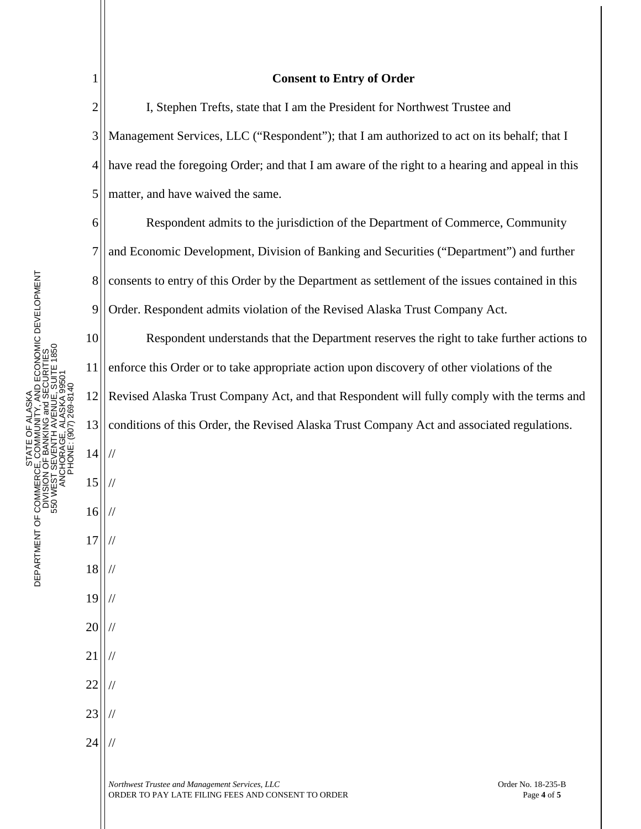| $\mathbf{1}$   | <b>Consent to Entry of Order</b>                                                                                                          |
|----------------|-------------------------------------------------------------------------------------------------------------------------------------------|
| $\overline{2}$ | I, Stephen Trefts, state that I am the President for Northwest Trustee and                                                                |
| 3              | Management Services, LLC ("Respondent"); that I am authorized to act on its behalf; that I                                                |
| 4              | have read the foregoing Order; and that I am aware of the right to a hearing and appeal in this                                           |
| 5              | matter, and have waived the same.                                                                                                         |
| 6              | Respondent admits to the jurisdiction of the Department of Commerce, Community                                                            |
| 7              | and Economic Development, Division of Banking and Securities ("Department") and further                                                   |
| $8\,$          | consents to entry of this Order by the Department as settlement of the issues contained in this                                           |
| 9              | Order. Respondent admits violation of the Revised Alaska Trust Company Act.                                                               |
| 10             | Respondent understands that the Department reserves the right to take further actions to                                                  |
| 11             | enforce this Order or to take appropriate action upon discovery of other violations of the                                                |
| 12             | Revised Alaska Trust Company Act, and that Respondent will fully comply with the terms and                                                |
| 13             | conditions of this Order, the Revised Alaska Trust Company Act and associated regulations.                                                |
| 14             | $\frac{1}{2}$                                                                                                                             |
| 15             |                                                                                                                                           |
| 16             |                                                                                                                                           |
| 17             |                                                                                                                                           |
| 18             |                                                                                                                                           |
| 19             |                                                                                                                                           |
| 20             |                                                                                                                                           |
| 21             |                                                                                                                                           |
| 22             |                                                                                                                                           |
| 23             |                                                                                                                                           |
| 24             |                                                                                                                                           |
|                | Northwest Trustee and Management Services, LLC<br>Order No. 18-235-B<br>ORDER TO PAY LATE FILING FEES AND CONSENT TO ORDER<br>Page 4 of 5 |

 $\overline{\phantom{a}}$